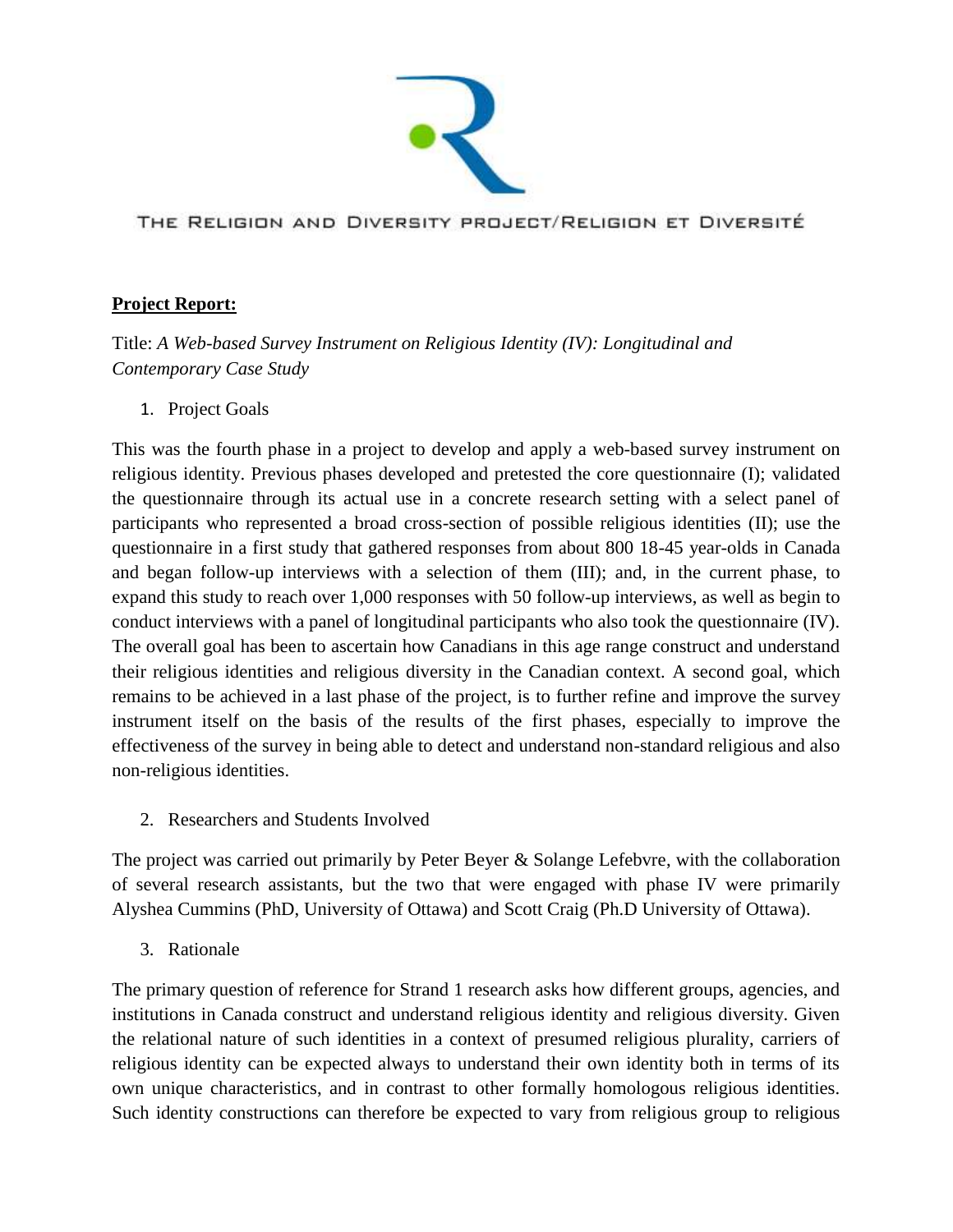

THE RELIGION AND DIVERSITY PROJECT/RELIGION ET DIVERSITÉ

## **Project Report:**

Title: *A Web-based Survey Instrument on Religious Identity (IV): Longitudinal and Contemporary Case Study*

1. Project Goals

This was the fourth phase in a project to develop and apply a web-based survey instrument on religious identity. Previous phases developed and pretested the core questionnaire (I); validated the questionnaire through its actual use in a concrete research setting with a select panel of participants who represented a broad cross-section of possible religious identities (II); use the questionnaire in a first study that gathered responses from about 800 18-45 year-olds in Canada and began follow-up interviews with a selection of them (III); and, in the current phase, to expand this study to reach over 1,000 responses with 50 follow-up interviews, as well as begin to conduct interviews with a panel of longitudinal participants who also took the questionnaire (IV). The overall goal has been to ascertain how Canadians in this age range construct and understand their religious identities and religious diversity in the Canadian context. A second goal, which remains to be achieved in a last phase of the project, is to further refine and improve the survey instrument itself on the basis of the results of the first phases, especially to improve the effectiveness of the survey in being able to detect and understand non-standard religious and also non-religious identities.

2. Researchers and Students Involved

The project was carried out primarily by Peter Beyer & Solange Lefebvre, with the collaboration of several research assistants, but the two that were engaged with phase IV were primarily Alyshea Cummins (PhD, University of Ottawa) and Scott Craig (Ph.D University of Ottawa).

3. Rationale

The primary question of reference for Strand 1 research asks how different groups, agencies, and institutions in Canada construct and understand religious identity and religious diversity. Given the relational nature of such identities in a context of presumed religious plurality, carriers of religious identity can be expected always to understand their own identity both in terms of its own unique characteristics, and in contrast to other formally homologous religious identities. Such identity constructions can therefore be expected to vary from religious group to religious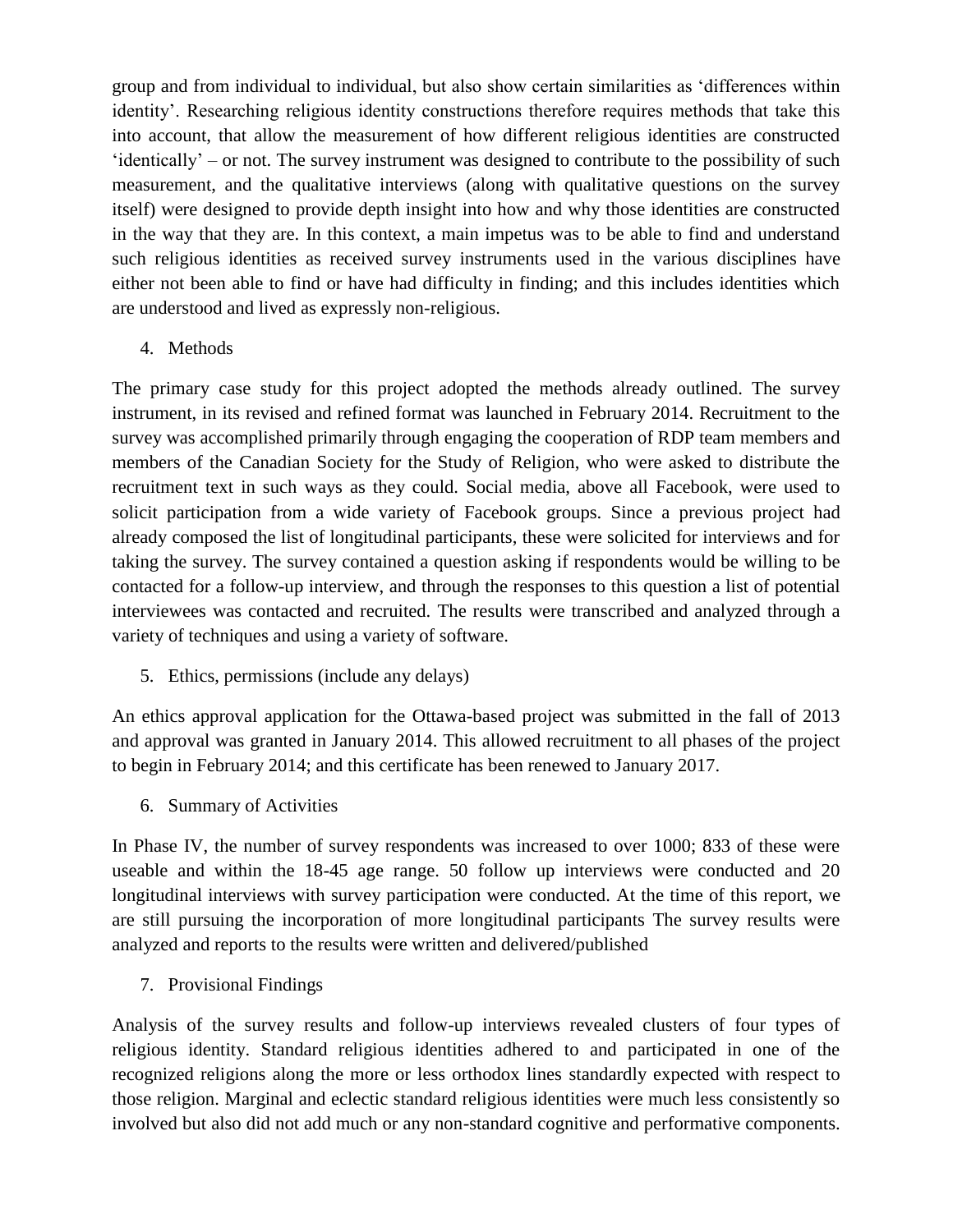group and from individual to individual, but also show certain similarities as 'differences within identity'. Researching religious identity constructions therefore requires methods that take this into account, that allow the measurement of how different religious identities are constructed 'identically' – or not. The survey instrument was designed to contribute to the possibility of such measurement, and the qualitative interviews (along with qualitative questions on the survey itself) were designed to provide depth insight into how and why those identities are constructed in the way that they are. In this context, a main impetus was to be able to find and understand such religious identities as received survey instruments used in the various disciplines have either not been able to find or have had difficulty in finding; and this includes identities which are understood and lived as expressly non-religious.

## 4. Methods

The primary case study for this project adopted the methods already outlined. The survey instrument, in its revised and refined format was launched in February 2014. Recruitment to the survey was accomplished primarily through engaging the cooperation of RDP team members and members of the Canadian Society for the Study of Religion, who were asked to distribute the recruitment text in such ways as they could. Social media, above all Facebook, were used to solicit participation from a wide variety of Facebook groups. Since a previous project had already composed the list of longitudinal participants, these were solicited for interviews and for taking the survey. The survey contained a question asking if respondents would be willing to be contacted for a follow-up interview, and through the responses to this question a list of potential interviewees was contacted and recruited. The results were transcribed and analyzed through a variety of techniques and using a variety of software.

5. Ethics, permissions (include any delays)

An ethics approval application for the Ottawa-based project was submitted in the fall of 2013 and approval was granted in January 2014. This allowed recruitment to all phases of the project to begin in February 2014; and this certificate has been renewed to January 2017.

6. Summary of Activities

In Phase IV, the number of survey respondents was increased to over 1000; 833 of these were useable and within the 18-45 age range. 50 follow up interviews were conducted and 20 longitudinal interviews with survey participation were conducted. At the time of this report, we are still pursuing the incorporation of more longitudinal participants The survey results were analyzed and reports to the results were written and delivered/published

7. Provisional Findings

Analysis of the survey results and follow-up interviews revealed clusters of four types of religious identity. Standard religious identities adhered to and participated in one of the recognized religions along the more or less orthodox lines standardly expected with respect to those religion. Marginal and eclectic standard religious identities were much less consistently so involved but also did not add much or any non-standard cognitive and performative components.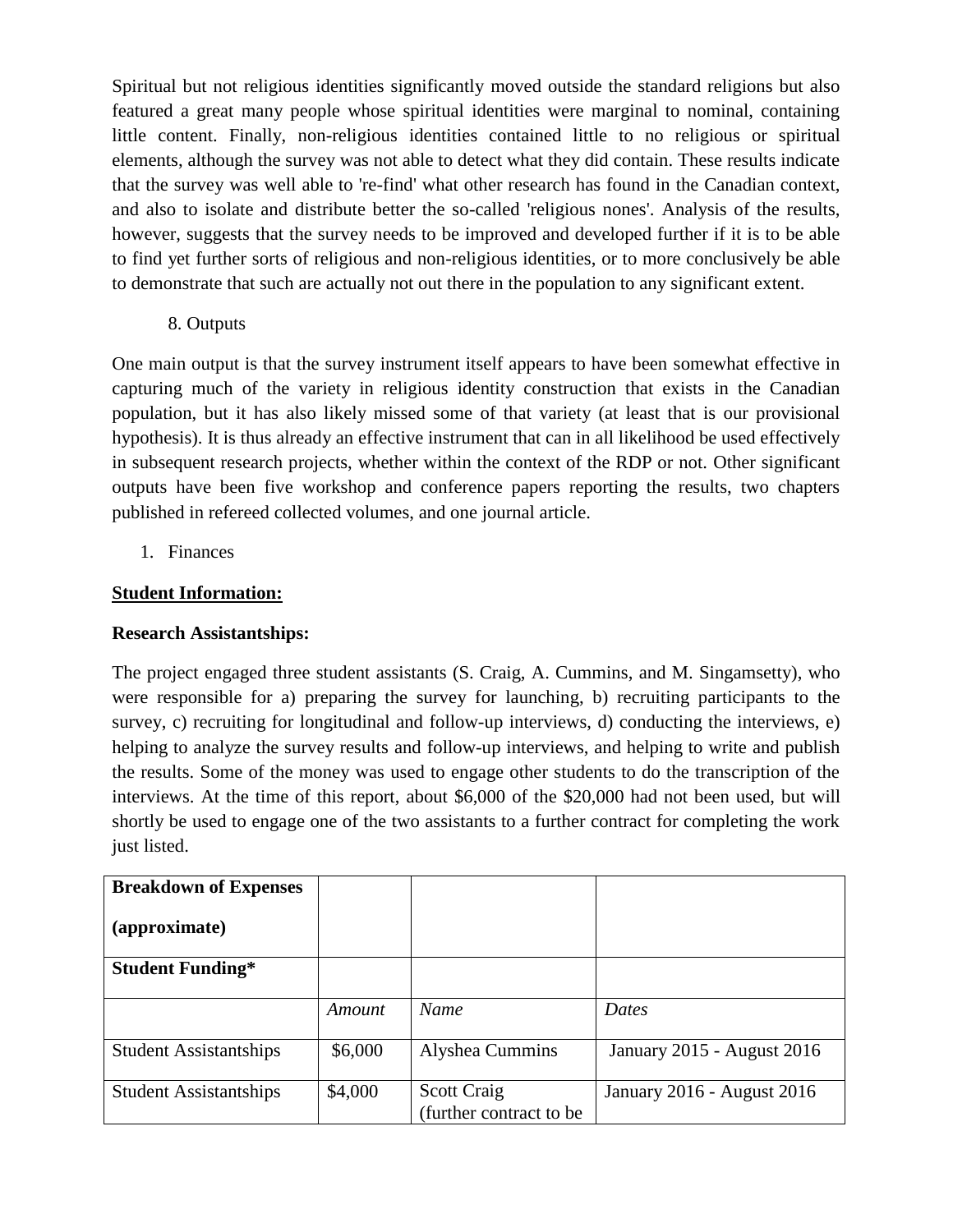Spiritual but not religious identities significantly moved outside the standard religions but also featured a great many people whose spiritual identities were marginal to nominal, containing little content. Finally, non-religious identities contained little to no religious or spiritual elements, although the survey was not able to detect what they did contain. These results indicate that the survey was well able to 're-find' what other research has found in the Canadian context, and also to isolate and distribute better the so-called 'religious nones'. Analysis of the results, however, suggests that the survey needs to be improved and developed further if it is to be able to find yet further sorts of religious and non-religious identities, or to more conclusively be able to demonstrate that such are actually not out there in the population to any significant extent.

8. Outputs

One main output is that the survey instrument itself appears to have been somewhat effective in capturing much of the variety in religious identity construction that exists in the Canadian population, but it has also likely missed some of that variety (at least that is our provisional hypothesis). It is thus already an effective instrument that can in all likelihood be used effectively in subsequent research projects, whether within the context of the RDP or not. Other significant outputs have been five workshop and conference papers reporting the results, two chapters published in refereed collected volumes, and one journal article.

1. Finances

## **Student Information:**

## **Research Assistantships:**

The project engaged three student assistants (S. Craig, A. Cummins, and M. Singamsetty), who were responsible for a) preparing the survey for launching, b) recruiting participants to the survey, c) recruiting for longitudinal and follow-up interviews, d) conducting the interviews, e) helping to analyze the survey results and follow-up interviews, and helping to write and publish the results. Some of the money was used to engage other students to do the transcription of the interviews. At the time of this report, about \$6,000 of the \$20,000 had not been used, but will shortly be used to engage one of the two assistants to a further contract for completing the work just listed.

| <b>Breakdown of Expenses</b>  |         |                                                |                            |
|-------------------------------|---------|------------------------------------------------|----------------------------|
| (approximate)                 |         |                                                |                            |
| <b>Student Funding*</b>       |         |                                                |                            |
|                               | Amount  | Name                                           | Dates                      |
| <b>Student Assistantships</b> | \$6,000 | Alyshea Cummins                                | January 2015 - August 2016 |
| <b>Student Assistantships</b> | \$4,000 | <b>Scott Craig</b><br>(further contract to be) | January 2016 - August 2016 |